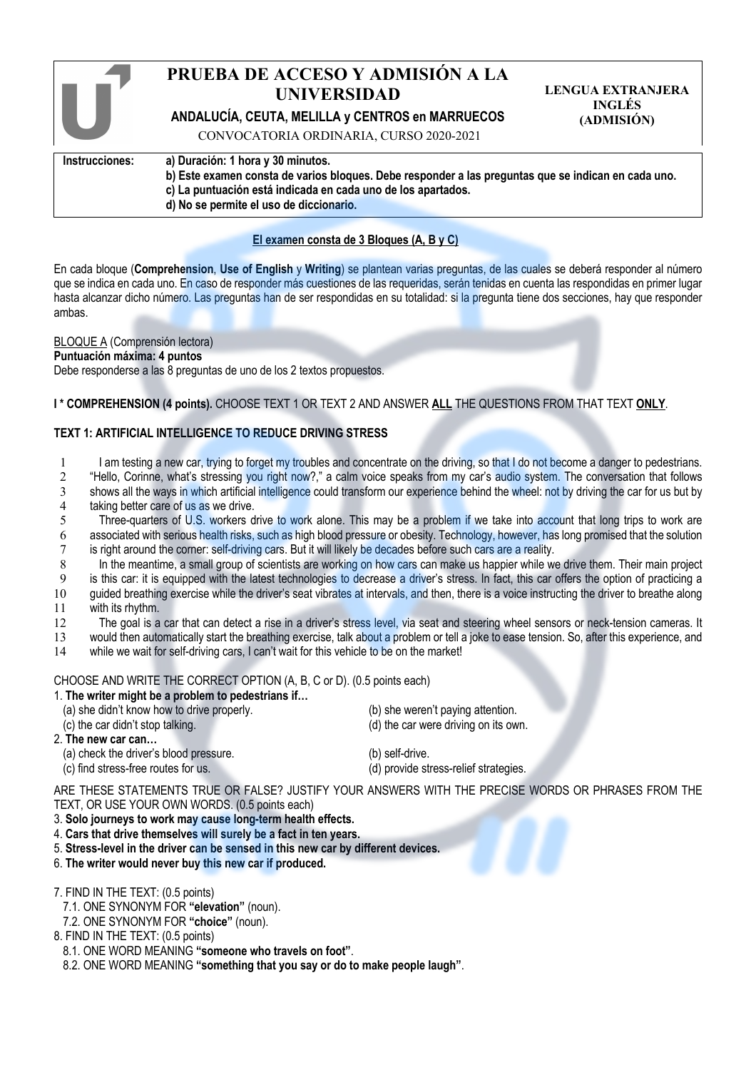|                | PRUEBA DE ACCESO Y ADMISIÓN A LA<br><b>UNIVERSIDAD</b><br>ANDALUCÍA, CEUTA, MELILLA y CENTROS en MARRUECOS<br>CONVOCATORIA ORDINARIA, CURSO 2020-2021                                                                                               | <b>LENGUA EXTRANJERA</b><br><b>INGLÉS</b><br>(ADMISIÓN) |
|----------------|-----------------------------------------------------------------------------------------------------------------------------------------------------------------------------------------------------------------------------------------------------|---------------------------------------------------------|
| Instrucciones: | a) Duración: 1 hora y 30 minutos.<br>b) Este examen consta de varios bloques. Debe responder a las preguntas que se indican en cada uno.<br>c) La puntuación está indicada en cada uno de los apartados.<br>d) No se permite el uso de diccionario. |                                                         |

## **El examen consta de 3 Bloques (A, B y C)**

En cada bloque (**Comprehension**, **Use of English** y **Writing**) se plantean varias preguntas, de las cuales se deberá responder al número que se indica en cada uno. En caso de responder más cuestiones de las requeridas, serán tenidas en cuenta las respondidas en primer lugar hasta alcanzar dicho número. Las preguntas han de ser respondidas en su totalidad: si la pregunta tiene dos secciones, hay que responder ambas.

#### BLOQUE A (Comprensión lectora)

#### **Puntuación máxima: 4 puntos**

Debe responderse a las 8 preguntas de uno de los 2 textos propuestos.

#### **I \* COMPREHENSION (4 points).** CHOOSE TEXT 1 OR TEXT 2 AND ANSWER **ALL** THE QUESTIONS FROM THAT TEXT **ONLY**.

## **TEXT 1: ARTIFICIAL INTELLIGENCE TO REDUCE DRIVING STRESS**

- 1 I am testing a new car, trying to forget my troubles and concentrate on the driving, so that I do not become a danger to pedestrians.
- <sup>2</sup> "Hello, Corinne, what's stressing you right now?," a calm voice speaks from my car's audio system. The conversation that follows<br>3 shows all the ways in which artificial intelligence could transform our experience behi
- shows all the ways in which artificial intelligence could transform our experience behind the wheel: not by driving the car for us but by 4 taking better care of us as we drive.
- 5 Three-quarters of U.S. workers drive to work alone. This may be a problem if we take into account that long trips to work are 6 associated with serious health risks, such as high blood pressure or obesity. Technology, however, has long promised that the solution
- 7 is right around the corner: self-driving cars. But it will likely be decades before such cars are a reality.
- 8 In the meantime, a small group of scientists are working on how cars can make us happier while we drive them. Their main project is this car: it is equipped with the latest technologies to decrease a driver's stress. In
- is this car: it is equipped with the latest technologies to decrease a driver's stress. In fact, this car offers the option of practicing a
- 10 guided breathing exercise while the driver's seat vibrates at intervals, and then, there is a voice instructing the driver to breathe along 11 with its rhythm.<br>12 The goal is a
- 12 The goal is a car that can detect a rise in a driver's stress level, via seat and steering wheel sensors or neck-tension cameras. It
- 13 would then automatically start the breathing exercise, talk about a problem or tell a joke to ease tension. So, after this experience, and
- 14 while we wait for self-driving cars, I can't wait for this vehicle to be on the market!

CHOOSE AND WRITE THE CORRECT OPTION (A, B, C or D). (0.5 points each)

|  |  |  |  |  | 1. The writer might be a problem to pedestrians if |
|--|--|--|--|--|----------------------------------------------------|
|  |  |  |  |  |                                                    |

| (c) the car didn't stop talking. | (d) the car were driving on its own. |
|----------------------------------|--------------------------------------|
| 2. The new car can…              |                                      |

- 2. **The new car can…**
	- (a) check the driver's blood pressure. (b) self-drive.
- (c) find stress-free routes for us. (d) provide stress-relief strategies.

ARE THESE STATEMENTS TRUE OR FALSE? JUSTIFY YOUR ANSWERS WITH THE PRECISE WORDS OR PHRASES FROM THE TEXT, OR USE YOUR OWN WORDS. (0.5 points each)

- 3. **Solo journeys to work may cause long-term health effects.**
- 4. **Cars that drive themselves will surely be a fact in ten years.**
- 5. **Stress-level in the driver can be sensed in this new car by different devices.**
- 6. **The writer would never buy this new car if produced.**
- 7. FIND IN THE TEXT: (0.5 points)
- 7.1. ONE SYNONYM FOR **"elevation"** (noun).
- 7.2. ONE SYNONYM FOR **"choice"** (noun).
- 8. FIND IN THE TEXT: (0.5 points)
- 8.1. ONE WORD MEANING **"someone who travels on foot"**.
- 8.2. ONE WORD MEANING **"something that you say or do to make people laugh"**.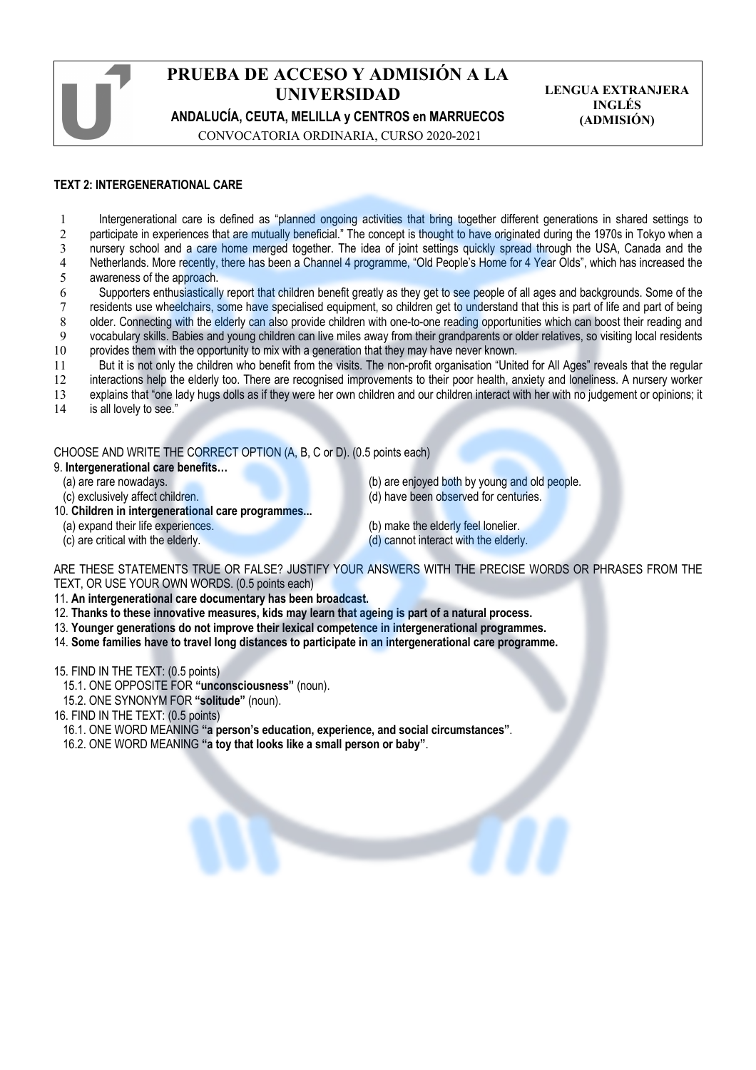| PRUEBA DE ACCESO Y ADMISIÓN A LA                 |
|--------------------------------------------------|
| <b>UNIVERSIDAD</b>                               |
| ANDALUCÍA, CEUTA, MELILLA y CENTROS en MARRUECOS |

**LENGUA EXTRANJERA INGLÉS (ADMISIÓN)**

CONVOCATORIA ORDINARIA, CURSO 2020-2021

## **TEXT 2: INTERGENERATIONAL CARE**

 Intergenerational care is defined as "planned ongoing activities that bring together different generations in shared settings to 2 participate in experiences that are mutually beneficial." The concept is thought to have originated during the 1970s in Tokyo when a nursery school and a care home merged together. The idea of joint settings quickly spread through the USA, Canada and the Netherlands. More recently, there has been a Channel 4 programme, "Old People's Home for 4 Year Olds", which has increased the awareness of the approach.

- 6 Supporters enthusiastically report that children benefit greatly as they get to see people of all ages and backgrounds. Some of the 7 residents use wheelchairs, some have specialised equipment, so children get to understand that this is part of life and part of being 8 older. Connecting with the elderly can also provide children with one-to-one reading opportunities which can boost their reading and 9 vocabulary skills. Babies and young children can live miles away from their grandparents or older relatives, so visiting local residents 10 provides them with the opportunity to mix with a generation that they may have never known.
- 11 But it is not only the children who benefit from the visits. The non-profit organisation "United for All Ages" reveals that the regular
- 12 interactions help the elderly too. There are recognised improvements to their poor health, anxiety and loneliness. A nursery worker

13 explains that "one lady hugs dolls as if they were her own children and our children interact with her with no judgement or opinions; it

14 is all lovely to see."

CHOOSE AND WRITE THE CORRECT OPTION (A, B, C or D). (0.5 points each) 9. **Intergenerational care benefits…**

- 
- 
- 10. **Children in intergenerational care programmes...**
	- (a) expand their life experiences. (b) make the elderly feel lonelier.
	-
- (a) are rare nowadays. (b) are enjoyed both by young and old people. (c) exclusively affect children. (d) have been observed for centuries.
	- (c) are critical with the elderly. (d) cannot interact with the elderly.

ARE THESE STATEMENTS TRUE OR FALSE? JUSTIFY YOUR ANSWERS WITH THE PRECISE WORDS OR PHRASES FROM THE TEXT, OR USE YOUR OWN WORDS. (0.5 points each)

11. **An intergenerational care documentary has been broadcast.**

- 12. **Thanks to these innovative measures, kids may learn that ageing is part of a natural process.**
- 13. **Younger generations do not improve their lexical competence in intergenerational programmes.**
- 14. **Some families have to travel long distances to participate in an intergenerational care programme.**

15. FIND IN THE TEXT: (0.5 points)

- 15.1. ONE OPPOSITE FOR **"unconsciousness"** (noun).
- 15.2. ONE SYNONYM FOR **"solitude"** (noun).

16. FIND IN THE TEXT: (0.5 points)

- 16.1. ONE WORD MEANING **"a person's education, experience, and social circumstances"**.
- 16.2. ONE WORD MEANING **"a toy that looks like a small person or baby"**.